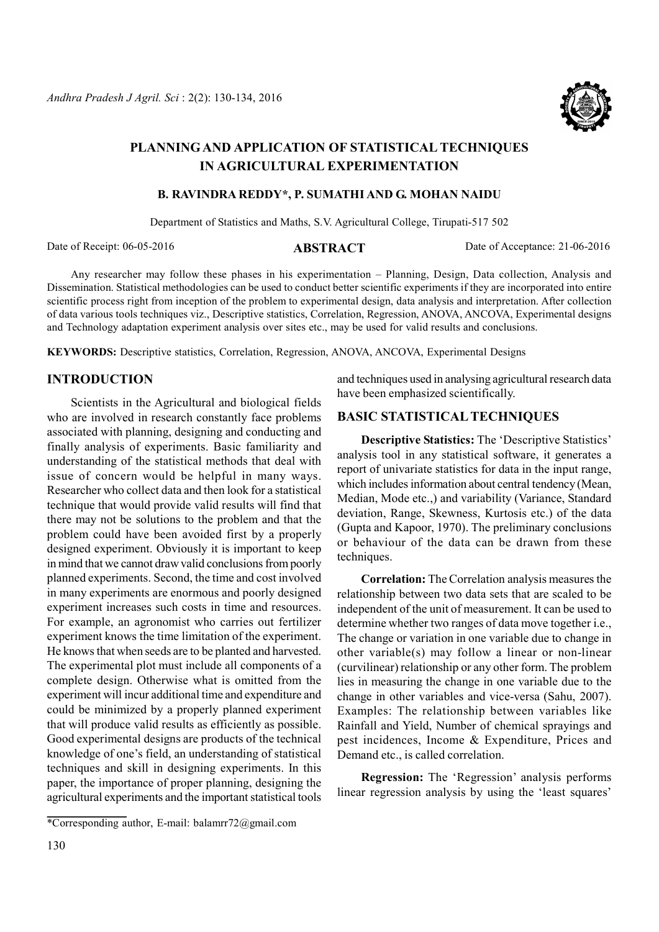

# PLANNING AND APPLICATION OF STATISTICAL TECHNIQUES IN AGRICULTURAL EXPERIMENTATION

### B. RAVINDRA REDDY\*, P. SUMATHI AND G. MOHAN NAIDU

Department of Statistics and Maths, S.V. Agricultural College, Tirupati-517 502

### ABSTRACT

Date of Receipt: 06-05-2016 **ABSTRACT** Date of Acceptance: 21-06-2016

Any researcher may follow these phases in his experimentation – Planning, Design, Data collection, Analysis and Dissemination. Statistical methodologies can be used to conduct better scientific experiments if they are incorporated into entire scientific process right from inception of the problem to experimental design, data analysis and interpretation. After collection of data various tools techniques viz., Descriptive statistics, Correlation, Regression, ANOVA, ANCOVA, Experimental designs and Technology adaptation experiment analysis over sites etc., may be used for valid results and conclusions.

KEYWORDS: Descriptive statistics, Correlation, Regression, ANOVA, ANCOVA, Experimental Designs

# INTRODUCTION

Scientists in the Agricultural and biological fields who are involved in research constantly face problems associated with planning, designing and conducting and finally analysis of experiments. Basic familiarity and understanding of the statistical methods that deal with issue of concern would be helpful in many ways. Researcher who collect data and then look for a statistical technique that would provide valid results will find that there may not be solutions to the problem and that the problem could have been avoided first by a properly designed experiment. Obviously it is important to keep in mind that we cannot draw valid conclusions from poorly planned experiments. Second, the time and cost involved in many experiments are enormous and poorly designed experiment increases such costs in time and resources. For example, an agronomist who carries out fertilizer experiment knows the time limitation of the experiment. He knows that when seeds are to be planted and harvested. The experimental plot must include all components of a complete design. Otherwise what is omitted from the experiment will incur additional time and expenditure and could be minimized by a properly planned experiment that will produce valid results as efficiently as possible. Good experimental designs are products of the technical knowledge of one's field, an understanding of statistical techniques and skill in designing experiments. In this paper, the importance of proper planning, designing the agricultural experiments and the important statistical tools

# BASIC STATISTICAL TECHNIQUES

Descriptive Statistics: The 'Descriptive Statistics' analysis tool in any statistical software, it generates a report of univariate statistics for data in the input range, which includes information about central tendency (Mean, Median, Mode etc.,) and variability (Variance, Standard deviation, Range, Skewness, Kurtosis etc.) of the data (Gupta and Kapoor, 1970). The preliminary conclusions or behaviour of the data can be drawn from these techniques.

Correlation: The Correlation analysis measures the relationship between two data sets that are scaled to be independent of the unit of measurement. It can be used to determine whether two ranges of data move together i.e., The change or variation in one variable due to change in other variable(s) may follow a linear or non-linear (curvilinear) relationship or any other form. The problem lies in measuring the change in one variable due to the change in other variables and vice-versa (Sahu, 2007). Examples: The relationship between variables like Rainfall and Yield, Number of chemical sprayings and pest incidences, Income & Expenditure, Prices and Demand etc., is called correlation.

Regression: The 'Regression' analysis performs linear regression analysis by using the 'least squares'

and techniques used in analysing agricultural research data have been emphasized scientifically.

<sup>\*</sup>Corresponding author, E-mail: balamrr72@gmail.com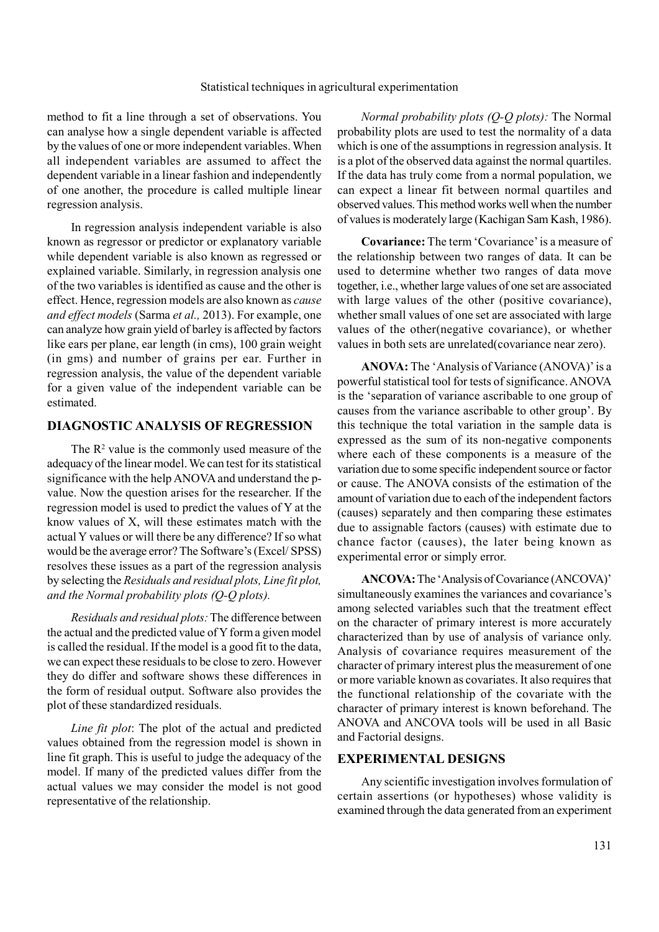method to fit a line through a set of observations. You can analyse how a single dependent variable is affected by the values of one or more independent variables. When all independent variables are assumed to affect the dependent variable in a linear fashion and independently of one another, the procedure is called multiple linear regression analysis.

In regression analysis independent variable is also known as regressor or predictor or explanatory variable while dependent variable is also known as regressed or explained variable. Similarly, in regression analysis one of the two variables is identified as cause and the other is effect. Hence, regression models are also known as cause and effect models (Sarma et al., 2013). For example, one can analyze how grain yield of barley is affected by factors like ears per plane, ear length (in cms), 100 grain weight (in gms) and number of grains per ear. Further in regression analysis, the value of the dependent variable for a given value of the independent variable can be estimated.

# DIAGNOSTIC ANALYSIS OF REGRESSION

The  $\mathbb{R}^2$  value is the commonly used measure of the adequacy of the linear model. We can test for its statistical significance with the help ANOVA and understand the pvalue. Now the question arises for the researcher. If the regression model is used to predict the values of Y at the know values of X, will these estimates match with the actual Y values or will there be any difference? If so what would be the average error? The Software's (Excel/ SPSS) resolves these issues as a part of the regression analysis by selecting the Residuals and residual plots, Line fit plot, and the Normal probability plots (Q-Q plots).

Residuals and residual plots: The difference between the actual and the predicted value of Y form a given model is called the residual. If the model is a good fit to the data, we can expect these residuals to be close to zero. However they do differ and software shows these differences in the form of residual output. Software also provides the plot of these standardized residuals.

Line fit plot: The plot of the actual and predicted values obtained from the regression model is shown in line fit graph. This is useful to judge the adequacy of the model. If many of the predicted values differ from the actual values we may consider the model is not good representative of the relationship.

Normal probability plots (Q-Q plots): The Normal probability plots are used to test the normality of a data which is one of the assumptions in regression analysis. It is a plot of the observed data against the normal quartiles. If the data has truly come from a normal population, we can expect a linear fit between normal quartiles and observed values. This method works well when the number of values is moderately large (Kachigan Sam Kash, 1986).

Covariance: The term 'Covariance' is a measure of the relationship between two ranges of data. It can be used to determine whether two ranges of data move together, i.e., whether large values of one set are associated with large values of the other (positive covariance), whether small values of one set are associated with large values of the other(negative covariance), or whether values in both sets are unrelated(covariance near zero).

ANOVA: The 'Analysis of Variance (ANOVA)' is a powerful statistical tool for tests of significance. ANOVA is the 'separation of variance ascribable to one group of causes from the variance ascribable to other group'. By this technique the total variation in the sample data is expressed as the sum of its non-negative components where each of these components is a measure of the variation due to some specific independent source or factor or cause. The ANOVA consists of the estimation of the amount of variation due to each of the independent factors (causes) separately and then comparing these estimates due to assignable factors (causes) with estimate due to chance factor (causes), the later being known as experimental error or simply error.

ANCOVA: The 'Analysis of Covariance (ANCOVA)' simultaneously examines the variances and covariance's among selected variables such that the treatment effect on the character of primary interest is more accurately characterized than by use of analysis of variance only. Analysis of covariance requires measurement of the character of primary interest plus the measurement of one or more variable known as covariates. It also requires that the functional relationship of the covariate with the character of primary interest is known beforehand. The ANOVA and ANCOVA tools will be used in all Basic and Factorial designs.

### EXPERIMENTAL DESIGNS

Any scientific investigation involves formulation of certain assertions (or hypotheses) whose validity is examined through the data generated from an experiment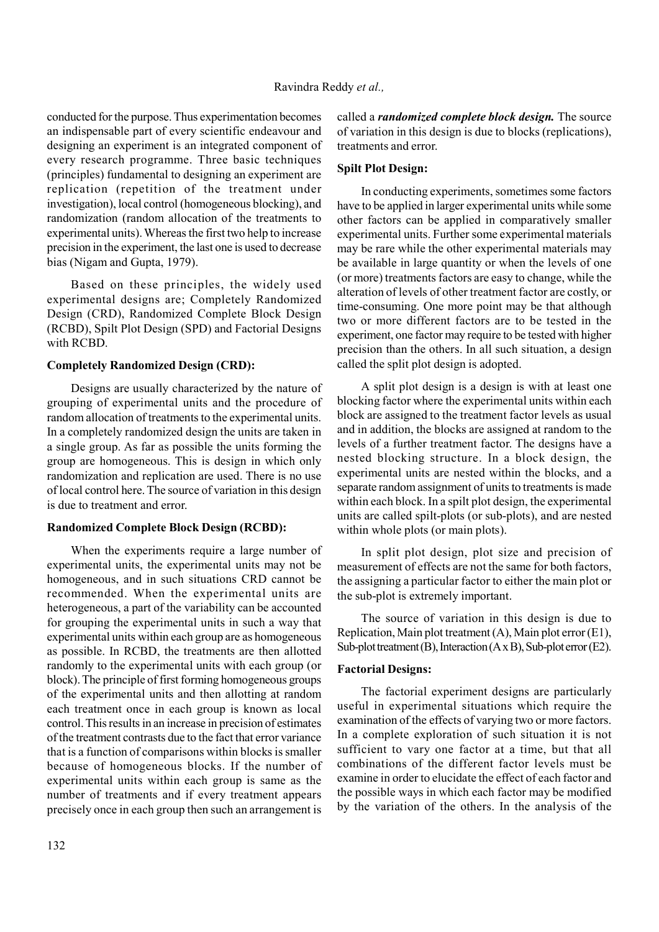conducted for the purpose. Thus experimentation becomes an indispensable part of every scientific endeavour and designing an experiment is an integrated component of every research programme. Three basic techniques (principles) fundamental to designing an experiment are replication (repetition of the treatment under investigation), local control (homogeneous blocking), and randomization (random allocation of the treatments to experimental units). Whereas the first two help to increase precision in the experiment, the last one is used to decrease bias (Nigam and Gupta, 1979).

Based on these principles, the widely used experimental designs are; Completely Randomized Design (CRD), Randomized Complete Block Design (RCBD), Spilt Plot Design (SPD) and Factorial Designs with RCBD.

#### Completely Randomized Design (CRD):

Designs are usually characterized by the nature of grouping of experimental units and the procedure of random allocation of treatments to the experimental units. In a completely randomized design the units are taken in a single group. As far as possible the units forming the group are homogeneous. This is design in which only randomization and replication are used. There is no use of local control here. The source of variation in this design is due to treatment and error.

### Randomized Complete Block Design (RCBD):

When the experiments require a large number of experimental units, the experimental units may not be homogeneous, and in such situations CRD cannot be recommended. When the experimental units are heterogeneous, a part of the variability can be accounted for grouping the experimental units in such a way that experimental units within each group are as homogeneous as possible. In RCBD, the treatments are then allotted randomly to the experimental units with each group (or block). The principle of first forming homogeneous groups of the experimental units and then allotting at random each treatment once in each group is known as local control. This results in an increase in precision of estimates of the treatment contrasts due to the fact that error variance that is a function of comparisons within blocks is smaller because of homogeneous blocks. If the number of experimental units within each group is same as the number of treatments and if every treatment appears precisely once in each group then such an arrangement is called a *randomized complete block design*. The source of variation in this design is due to blocks (replications), treatments and error.

#### Spilt Plot Design:

In conducting experiments, sometimes some factors have to be applied in larger experimental units while some other factors can be applied in comparatively smaller experimental units. Further some experimental materials may be rare while the other experimental materials may be available in large quantity or when the levels of one (or more) treatments factors are easy to change, while the alteration of levels of other treatment factor are costly, or time-consuming. One more point may be that although two or more different factors are to be tested in the experiment, one factor may require to be tested with higher precision than the others. In all such situation, a design called the split plot design is adopted.

A split plot design is a design is with at least one blocking factor where the experimental units within each block are assigned to the treatment factor levels as usual and in addition, the blocks are assigned at random to the levels of a further treatment factor. The designs have a nested blocking structure. In a block design, the experimental units are nested within the blocks, and a separate random assignment of units to treatments is made within each block. In a spilt plot design, the experimental units are called spilt-plots (or sub-plots), and are nested within whole plots (or main plots).

In split plot design, plot size and precision of measurement of effects are not the same for both factors, the assigning a particular factor to either the main plot or the sub-plot is extremely important.

The source of variation in this design is due to Replication, Main plot treatment (A), Main plot error (E1), Sub-plot treatment (B), Interaction (A x B), Sub-plot error (E2).

#### Factorial Designs:

The factorial experiment designs are particularly useful in experimental situations which require the examination of the effects of varying two or more factors. In a complete exploration of such situation it is not sufficient to vary one factor at a time, but that all combinations of the different factor levels must be examine in order to elucidate the effect of each factor and the possible ways in which each factor may be modified by the variation of the others. In the analysis of the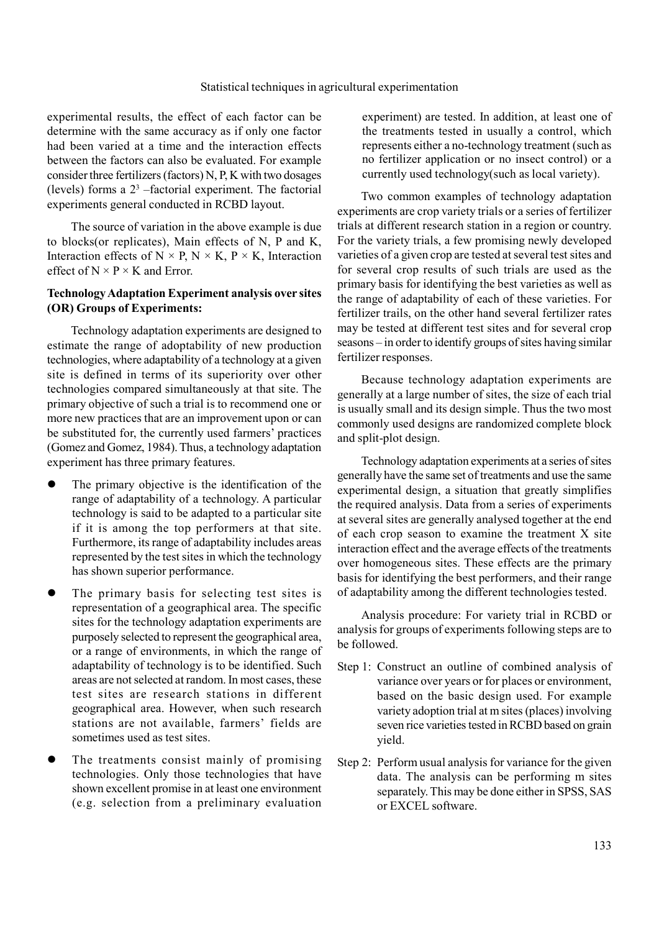experimental results, the effect of each factor can be determine with the same accuracy as if only one factor had been varied at a time and the interaction effects between the factors can also be evaluated. For example consider three fertilizers (factors) N, P, K with two dosages (levels) forms a  $2<sup>3</sup>$  -factorial experiment. The factorial experiments general conducted in RCBD layout.

The source of variation in the above example is due to blocks(or replicates), Main effects of N, P and K, Interaction effects of  $N \times P$ ,  $N \times K$ ,  $P \times K$ , Interaction effect of  $N \times P \times K$  and Error.

# Technology Adaptation Experiment analysis over sites (OR) Groups of Experiments:

Technology adaptation experiments are designed to estimate the range of adoptability of new production technologies, where adaptability of a technology at a given site is defined in terms of its superiority over other technologies compared simultaneously at that site. The primary objective of such a trial is to recommend one or more new practices that are an improvement upon or can be substituted for, the currently used farmers' practices (Gomez and Gomez, 1984). Thus, a technology adaptation experiment has three primary features.

- The primary objective is the identification of the range of adaptability of a technology. A particular technology is said to be adapted to a particular site if it is among the top performers at that site. Furthermore, its range of adaptability includes areas represented by the test sites in which the technology has shown superior performance.
- The primary basis for selecting test sites is representation of a geographical area. The specific sites for the technology adaptation experiments are purposely selected to represent the geographical area, or a range of environments, in which the range of adaptability of technology is to be identified. Such areas are not selected at random. In most cases, these test sites are research stations in different geographical area. However, when such research stations are not available, farmers' fields are sometimes used as test sites.
- The treatments consist mainly of promising technologies. Only those technologies that have shown excellent promise in at least one environment (e.g. selection from a preliminary evaluation

experiment) are tested. In addition, at least one of the treatments tested in usually a control, which represents either a no-technology treatment (such as no fertilizer application or no insect control) or a currently used technology(such as local variety).

Two common examples of technology adaptation experiments are crop variety trials or a series of fertilizer trials at different research station in a region or country. For the variety trials, a few promising newly developed varieties of a given crop are tested at several test sites and for several crop results of such trials are used as the primary basis for identifying the best varieties as well as the range of adaptability of each of these varieties. For fertilizer trails, on the other hand several fertilizer rates may be tested at different test sites and for several crop seasons – in order to identify groups of sites having similar fertilizer responses.

Because technology adaptation experiments are generally at a large number of sites, the size of each trial is usually small and its design simple. Thus the two most commonly used designs are randomized complete block and split-plot design.

Technology adaptation experiments at a series of sites generally have the same set of treatments and use the same experimental design, a situation that greatly simplifies the required analysis. Data from a series of experiments at several sites are generally analysed together at the end of each crop season to examine the treatment X site interaction effect and the average effects of the treatments over homogeneous sites. These effects are the primary basis for identifying the best performers, and their range of adaptability among the different technologies tested.

Analysis procedure: For variety trial in RCBD or analysis for groups of experiments following steps are to be followed.

- Step 1: Construct an outline of combined analysis of variance over years or for places or environment, based on the basic design used. For example variety adoption trial at m sites (places) involving seven rice varieties tested in RCBD based on grain yield.
- Step 2: Perform usual analysis for variance for the given data. The analysis can be performing m sites separately. This may be done either in SPSS, SAS or EXCEL software.